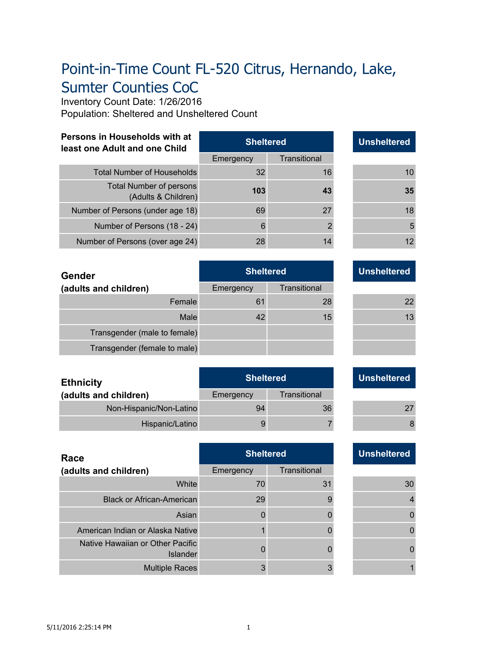# Point-in-Time Count FL-520 Citrus, Hernando, Lake, Sumter Counties CoC

Inventory Count Date: 1/26/2016 Population: Sheltered and Unsheltered Count

| Persons in Households with at | <b>Sheltered</b> | <b>Unsheltered</b> |
|-------------------------------|------------------|--------------------|
| least one Adult and one Child |                  |                    |

|                                                | Emergency | <b>Transitional</b> |    |
|------------------------------------------------|-----------|---------------------|----|
| <b>Total Number of Households</b>              | 32        | 16                  | 10 |
| Total Number of persons<br>(Adults & Children) | 103       | 43                  | 35 |
| Number of Persons (under age 18)               | 69        | 27                  | 18 |
| Number of Persons (18 - 24)                    | 6         |                     | 5  |
| Number of Persons (over age 24)                | 28        |                     | 12 |

| 10 |
|----|
| 35 |
| 18 |
| 5  |
| 12 |
|    |

| <b>Gender</b>                | <b>Sheltered</b> |              | <b>Unsheltered</b> |
|------------------------------|------------------|--------------|--------------------|
| (adults and children)        | Emergency        | Transitional |                    |
| Female                       | 61               | 28           | 22                 |
| Male                         | 42               | 15           | 13                 |
| Transgender (male to female) |                  |              |                    |
| Transgender (female to male) |                  |              |                    |

| <u>UNSIIGIGI GU</u> |  |  |  |  |  |
|---------------------|--|--|--|--|--|
|                     |  |  |  |  |  |
| 22                  |  |  |  |  |  |
| 13                  |  |  |  |  |  |
|                     |  |  |  |  |  |
|                     |  |  |  |  |  |

| <b>Ethnicity</b>        | <b>Sheltered</b> |              | <b>Unsheltered</b> |
|-------------------------|------------------|--------------|--------------------|
| (adults and children)   | Emergency        | Transitional |                    |
| Non-Hispanic/Non-Latino | 94               | 36           | 27                 |
| Hispanic/Latino         |                  |              |                    |

| Race                                                | <b>Sheltered</b> |              |  | <b>Unsheltered</b> |
|-----------------------------------------------------|------------------|--------------|--|--------------------|
| (adults and children)                               | Emergency        | Transitional |  |                    |
| White                                               | 70               | 31           |  | 30                 |
| <b>Black or African-American</b>                    | 29               |              |  |                    |
| Asian                                               |                  |              |  |                    |
| American Indian or Alaska Native                    |                  |              |  |                    |
| Native Hawaiian or Other Pacific<br><b>Islander</b> |                  |              |  |                    |
| <b>Multiple Races</b>                               | 3                |              |  |                    |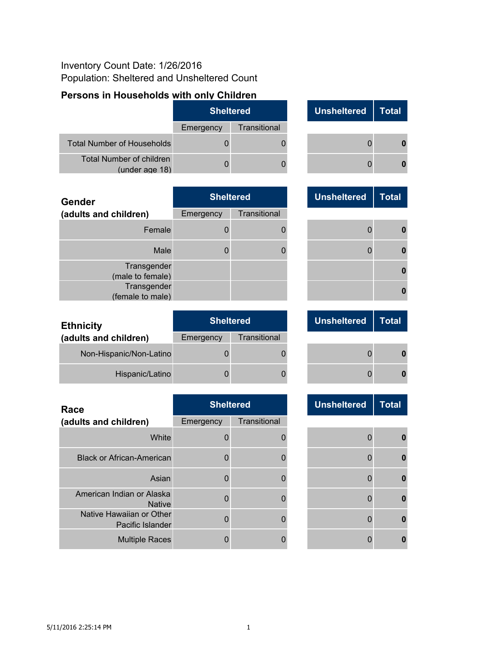#### Inventory Count Date: 1/26/2016 Population: Sheltered and Unsheltered Count

## **Persons in Households with only Children**

|                                            | <b>Sheltered</b> |              |  | Unsheltered | Total |
|--------------------------------------------|------------------|--------------|--|-------------|-------|
|                                            | Emergency        | Transitional |  |             |       |
| <b>Total Number of Households</b>          |                  |              |  |             |       |
| Total Number of children<br>(under age 18) |                  |              |  |             |       |

| <b>Gender</b>                   | <b>Sheltered</b> |              | <b>Unsheltered</b> | <b>Total</b> |
|---------------------------------|------------------|--------------|--------------------|--------------|
| (adults and children)           | Emergency        | Transitional |                    |              |
| Female                          |                  |              |                    | O            |
| Male                            |                  |              |                    | O            |
| Transgender<br>(male to female) |                  |              |                    |              |
| Transgender<br>(female to male) |                  |              |                    |              |

| <b>Ethnicity</b>        | <b>Sheltered</b> |              | <b>Unsheltered</b> | Total |          |
|-------------------------|------------------|--------------|--------------------|-------|----------|
| (adults and children)   | Emergency        | Transitional |                    |       |          |
| Non-Hispanic/Non-Latino |                  |              |                    |       | n        |
| Hispanic/Latino         |                  |              |                    |       | $\Omega$ |

| Race                                         | <b>Sheltered</b> |              | <b>Unsheltered</b> | <b>Total</b> |
|----------------------------------------------|------------------|--------------|--------------------|--------------|
| (adults and children)                        | Emergency        | Transitional |                    |              |
| White                                        |                  |              |                    |              |
| <b>Black or African-American</b>             |                  |              |                    | n            |
| Asian                                        |                  |              |                    | O            |
| American Indian or Alaska<br><b>Native</b>   |                  |              |                    |              |
| Native Hawaiian or Other<br>Pacific Islander |                  |              |                    |              |
| <b>Multiple Races</b>                        |                  |              |                    |              |

| <b>Unsheltered</b> | <b>Total</b> |
|--------------------|--------------|
| O                  |              |
| 0                  |              |

| <b>Unsheltered</b> | <b>Total</b> |
|--------------------|--------------|
| $\overline{0}$     | 0            |
| 0                  | 0            |
|                    | 0            |
|                    |              |

| <b>Unsheltered</b> | <b>Total</b> |
|--------------------|--------------|
|                    |              |
| 0                  |              |
| 0                  |              |

| <b>Unsheltered</b> | <b>Total</b> |
|--------------------|--------------|
|                    |              |
| 0                  | 0            |
| $\mathbf{0}$       | 0            |
| $\overline{0}$     | 0            |
| $\overline{0}$     | 0            |
| $\overline{0}$     | 0            |
| 0                  |              |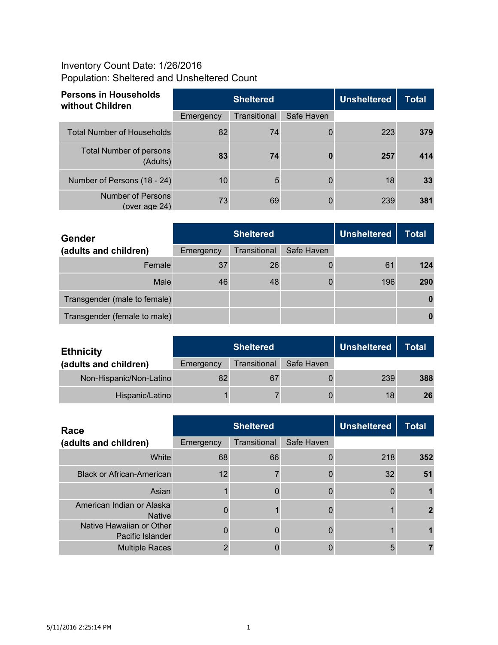## Inventory Count Date: 1/26/2016 Population: Sheltered and Unsheltered Count

| <b>Persons in Households</b><br>without Children | <b>Sheltered</b> |              |            | <b>Unsheltered</b> | <b>Total</b> |
|--------------------------------------------------|------------------|--------------|------------|--------------------|--------------|
|                                                  | Emergency        | Transitional | Safe Haven |                    |              |
| <b>Total Number of Households</b>                | 82               | 74           |            | 223                | 379          |
| <b>Total Number of persons</b><br>(Adults)       | 83               | 74           |            | 257                | 414          |
| Number of Persons (18 - 24)                      | 10 <sup>°</sup>  | 5            |            | 18                 | 33           |
| Number of Persons<br>(over age $24$ )            | 73               | 69           |            | 239                | 381          |

| <b>Gender</b>                |           | <b>Sheltered</b> | <b>Unsheltered</b> | <b>Total</b> |     |
|------------------------------|-----------|------------------|--------------------|--------------|-----|
| (adults and children)        | Emergency | Transitional     | Safe Haven         |              |     |
| Female                       | 37        | 26               |                    | 61           | 124 |
| Male                         | 46        | 48               | Ü                  | 196          | 290 |
| Transgender (male to female) |           |                  |                    |              |     |
| Transgender (female to male) |           |                  |                    |              |     |

| <b>Ethnicity</b>        |           | <b>Sheltered</b> | <b>Unsheltered</b> | <b>Total</b> |     |
|-------------------------|-----------|------------------|--------------------|--------------|-----|
| (adults and children)   | Emergency | Transitional     | Safe Haven         |              |     |
| Non-Hispanic/Non-Latino | 82        | 67               |                    | 239          | 388 |
| Hispanic/Latino         |           |                  |                    | 18           | 26  |

| Race                                         |           | <b>Sheltered</b> | <b>Unsheltered</b> | <b>Total</b> |     |
|----------------------------------------------|-----------|------------------|--------------------|--------------|-----|
| (adults and children)                        | Emergency | Transitional     | Safe Haven         |              |     |
| White                                        | 68        | 66               |                    | 218          | 352 |
| <b>Black or African-American</b>             | 12        |                  |                    | 32           | 51  |
| Asian                                        |           |                  |                    |              |     |
| American Indian or Alaska<br><b>Native</b>   |           |                  |                    |              |     |
| Native Hawaiian or Other<br>Pacific Islander |           |                  |                    |              |     |
| <b>Multiple Races</b>                        |           |                  |                    | 5            |     |